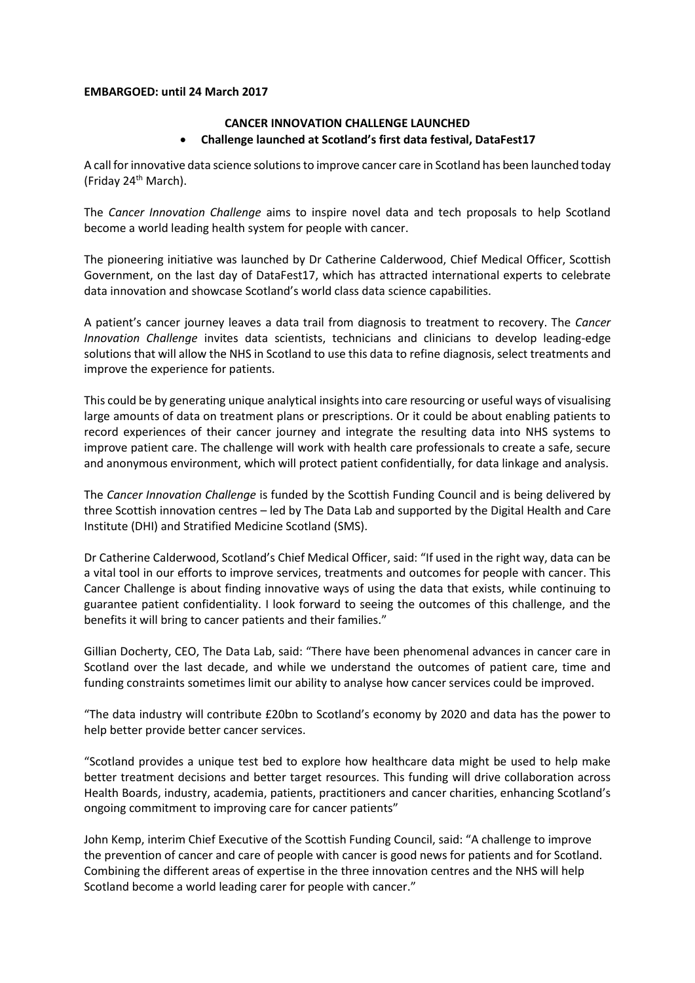## **EMBARGOED: until 24 March 2017**

# **CANCER INNOVATION CHALLENGE LAUNCHED Challenge launched at Scotland's first data festival, DataFest17**

A call for innovative data science solutions to improve cancer care in Scotland has been launched today (Friday 24<sup>th</sup> March).

The *Cancer Innovation Challenge* aims to inspire novel data and tech proposals to help Scotland become a world leading health system for people with cancer.

The pioneering initiative was launched by Dr Catherine Calderwood, Chief Medical Officer, Scottish Government, on the last day of DataFest17, which has attracted international experts to celebrate data innovation and showcase Scotland's world class data science capabilities.

A patient's cancer journey leaves a data trail from diagnosis to treatment to recovery. The *Cancer Innovation Challenge* invites data scientists, technicians and clinicians to develop leading-edge solutions that will allow the NHS in Scotland to use this data to refine diagnosis, select treatments and improve the experience for patients.

This could be by generating unique analytical insights into care resourcing or useful ways of visualising large amounts of data on treatment plans or prescriptions. Or it could be about enabling patients to record experiences of their cancer journey and integrate the resulting data into NHS systems to improve patient care. The challenge will work with health care professionals to create a safe, secure and anonymous environment, which will protect patient confidentially, for data linkage and analysis.

The *Cancer Innovation Challenge* is funded by the Scottish Funding Council and is being delivered by three Scottish innovation centres – led by The Data Lab and supported by the Digital Health and Care Institute (DHI) and Stratified Medicine Scotland (SMS).

Dr Catherine Calderwood, Scotland's Chief Medical Officer, said: "If used in the right way, data can be a vital tool in our efforts to improve services, treatments and outcomes for people with cancer. This Cancer Challenge is about finding innovative ways of using the data that exists, while continuing to guarantee patient confidentiality. I look forward to seeing the outcomes of this challenge, and the benefits it will bring to cancer patients and their families."

Gillian Docherty, CEO, The Data Lab, said: "There have been phenomenal advances in cancer care in Scotland over the last decade, and while we understand the outcomes of patient care, time and funding constraints sometimes limit our ability to analyse how cancer services could be improved.

"The data industry will contribute £20bn to Scotland's economy by 2020 and data has the power to help better provide better cancer services.

"Scotland provides a unique test bed to explore how healthcare data might be used to help make better treatment decisions and better target resources. This funding will drive collaboration across Health Boards, industry, academia, patients, practitioners and cancer charities, enhancing Scotland's ongoing commitment to improving care for cancer patients"

John Kemp, interim Chief Executive of the Scottish Funding Council, said: "A challenge to improve the prevention of cancer and care of people with cancer is good news for patients and for Scotland. Combining the different areas of expertise in the three innovation centres and the NHS will help Scotland become a world leading carer for people with cancer."